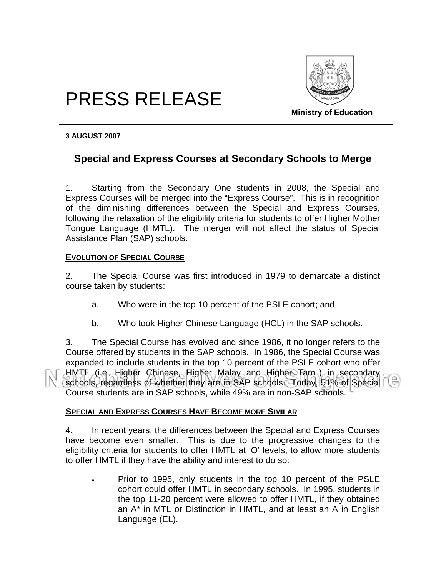

# PRESS RELEASE

**Ministry of Education** 

#### **3 AUGUST 2007**

# **Special and Express Courses at Secondary Schools to Merge**

1. Starting from the Secondary One students in 2008, the Special and Express Courses will be merged into the "Express Course". This is in recognition of the diminishing differences between the Special and Express Courses, following the relaxation of the eligibility criteria for students to offer Higher Mother Tongue Language (HMTL). The merger will not affect the status of Special Assistance Plan (SAP) schools.

#### **EVOLUTION OF SPECIAL COURSE**

2. The Special Course was first introduced in 1979 to demarcate a distinct course taken by students:

- a. Who were in the top 10 percent of the PSLE cohort; and
- b. Who took Higher Chinese Language (HCL) in the SAP schools.

3. The Special Course has evolved and since 1986, it no longer refers to the Course offered by students in the SAP schools. In 1986, the Special Course was expanded to include students in the top 10 percent of the PSLE cohort who offer HMTL (i.e. Higher Chinese, Higher Malay and Higher Tamil) in secondary schools, regardless of whether they are in SAP schools. Today, 51% of Special Course students are in SAP schools, while 49% are in non-SAP schools.

## **SPECIAL AND EXPRESS COURSES HAVE BECOME MORE SIMILAR**

4. In recent years, the differences between the Special and Express Courses have become even smaller. This is due to the progressive changes to the eligibility criteria for students to offer HMTL at 'O' levels, to allow more students to offer HMTL if they have the ability and interest to do so:

• Prior to 1995, only students in the top 10 percent of the PSLE cohort could offer HMTL in secondary schools. In 1995, students in the top 11-20 percent were allowed to offer HMTL, if they obtained an A\* in MTL or Distinction in HMTL, and at least an A in English Language (EL).